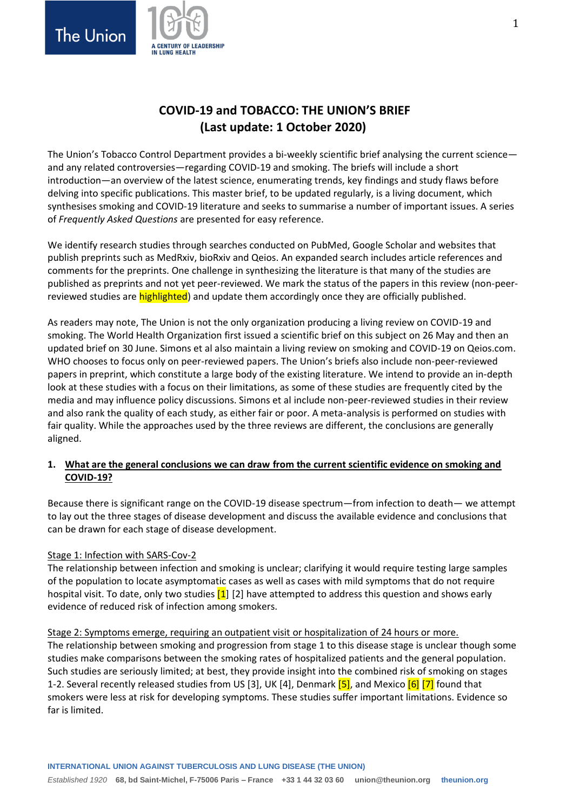

# **COVID-19 and TOBACCO: THE UNION'S BRIEF (Last update: 1 October 2020)**

The Union's Tobacco Control Department provides a bi-weekly scientific brief analysing the current science and any related controversies—regarding COVID-19 and smoking. The briefs will include a short introduction—an overview of the latest science, enumerating trends, key findings and study flaws before delving into specific publications. This master brief, to be updated regularly, is a living document, which synthesises smoking and COVID-19 literature and seeks to summarise a number of important issues. A series of *Frequently Asked Questions* are presented for easy reference.

We identify research studies through searches conducted on PubMed, Google Scholar and websites that publish preprints such as MedRxiv, bioRxiv and Qeios. An expanded search includes article references and comments for the preprints. One challenge in synthesizing the literature is that many of the studies are published as preprints and not yet peer-reviewed. We mark the status of the papers in this review (non-peerreviewed studies are **highlighted**) and update them accordingly once they are officially published.

As readers may note, The Union is not the only organization producing a living review on COVID-19 and smoking. The World Health Organization first issued a scientific brief on this subject on 26 May and then an updated brief on 30 June. Simons et al also maintain a living review on smoking and COVID-19 on Qeios.com. WHO chooses to focus only on peer-reviewed papers. The Union's briefs also include non-peer-reviewed papers in preprint, which constitute a large body of the existing literature. We intend to provide an in-depth look at these studies with a focus on their limitations, as some of these studies are frequently cited by the media and may influence policy discussions. Simons et al include non-peer-reviewed studies in their review and also rank the quality of each study, as either fair or poor. A meta-analysis is performed on studies with fair quality. While the approaches used by the three reviews are different, the conclusions are generally aligned.

## **1. What are the general conclusions we can draw from the current scientific evidence on smoking and COVID-19?**

Because there is significant range on the COVID-19 disease spectrum—from infection to death— we attempt to lay out the three stages of disease development and discuss the available evidence and conclusions that can be drawn for each stage of disease development.

## Stage 1: Infection with SARS-Cov-2

The relationship between infection and smoking is unclear; clarifying it would require testing large samples of the population to locate asymptomatic cases as well as cases with mild symptoms that do not require hospital visit. To date, only two studies [\[1\]](#page-6-0) [\[2\]](#page-6-1) have attempted to address this question and shows early evidence of reduced risk of infection among smokers.

## Stage 2: Symptoms emerge, requiring an outpatient visit or hospitalization of 24 hours or more.

The relationship between smoking and progression from stage 1 to this disease stage is unclear though some studies make comparisons between the smoking rates of hospitalized patients and the general population. Such studies are seriously limited; at best, they provide insight into the combined risk of smoking on stages 1-2. Several recently released studies from US [\[3\]](#page-6-2), UK [\[4\]](#page-6-3), Denmark [\[5\]](#page-6-4), and Mexico [\[6\]](#page-6-5) [\[7\]](#page-7-0) found that smokers were less at risk for developing symptoms. These studies suffer important limitations. Evidence so far is limited.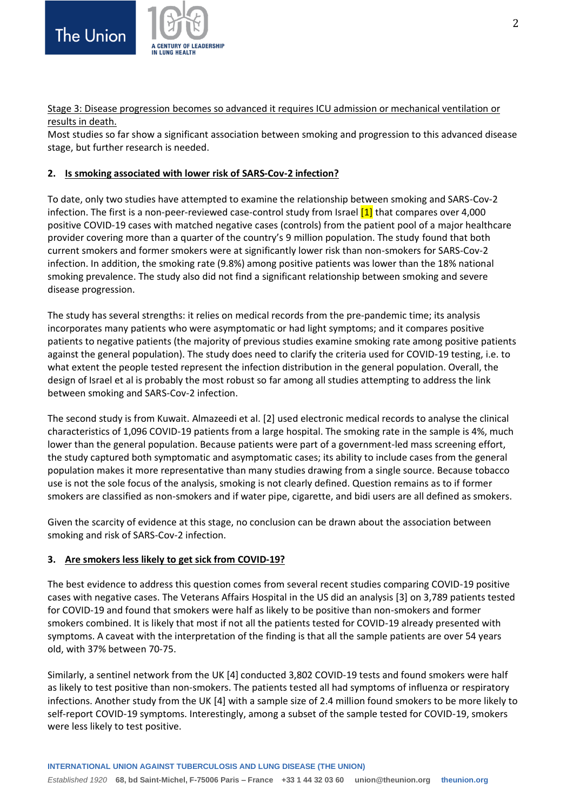

Stage 3: Disease progression becomes so advanced it requires ICU admission or mechanical ventilation or results in death.

Most studies so far show a significant association between smoking and progression to this advanced disease stage, but further research is needed.

#### **2. Is smoking associated with lower risk of SARS-Cov-2 infection?**

To date, only two studies have attempted to examine the relationship between smoking and SARS-Cov-2 infection. The first is a non-peer-reviewed case-control study from Israel [\[1\]](#page-6-0) that compares over 4,000 positive COVID-19 cases with matched negative cases (controls) from the patient pool of a major healthcare provider covering more than a quarter of the country's 9 million population. The study found that both current smokers and former smokers were at significantly lower risk than non-smokers for SARS-Cov-2 infection. In addition, the smoking rate (9.8%) among positive patients was lower than the 18% national smoking prevalence. The study also did not find a significant relationship between smoking and severe disease progression.

The study has several strengths: it relies on medical records from the pre-pandemic time; its analysis incorporates many patients who were asymptomatic or had light symptoms; and it compares positive patients to negative patients (the majority of previous studies examine smoking rate among positive patients against the general population). The study does need to clarify the criteria used for COVID-19 testing, i.e. to what extent the people tested represent the infection distribution in the general population. Overall, the design of Israel et al is probably the most robust so far among all studies attempting to address the link between smoking and SARS-Cov-2 infection.

The second study is from Kuwait. Almazeedi et al. [\[2\]](#page-6-1) used electronic medical records to analyse the clinical characteristics of 1,096 COVID-19 patients from a large hospital. The smoking rate in the sample is 4%, much lower than the general population. Because patients were part of a government-led mass screening effort, the study captured both symptomatic and asymptomatic cases; its ability to include cases from the general population makes it more representative than many studies drawing from a single source. Because tobacco use is not the sole focus of the analysis, smoking is not clearly defined. Question remains as to if former smokers are classified as non-smokers and if water pipe, cigarette, and bidi users are all defined as smokers.

Given the scarcity of evidence at this stage, no conclusion can be drawn about the association between smoking and risk of SARS-Cov-2 infection.

#### **3. Are smokers less likely to get sick from COVID-19?**

The best evidence to address this question comes from several recent studies comparing COVID-19 positive cases with negative cases. The Veterans Affairs Hospital in the US did an analysis [\[3\]](#page-6-2) on 3,789 patients tested for COVID-19 and found that smokers were half as likely to be positive than non-smokers and former smokers combined. It is likely that most if not all the patients tested for COVID-19 already presented with symptoms. A caveat with the interpretation of the finding is that all the sample patients are over 54 years old, with 37% between 70-75.

Similarly, a sentinel network from the UK [\[4\]](#page-6-3) conducted 3,802 COVID-19 tests and found smokers were half as likely to test positive than non-smokers. The patients tested all had symptoms of influenza or respiratory infections. Another study from the UK [\[4\]](#page-6-3) with a sample size of 2.4 million found smokers to be more likely to self-report COVID-19 symptoms. Interestingly, among a subset of the sample tested for COVID-19, smokers were less likely to test positive.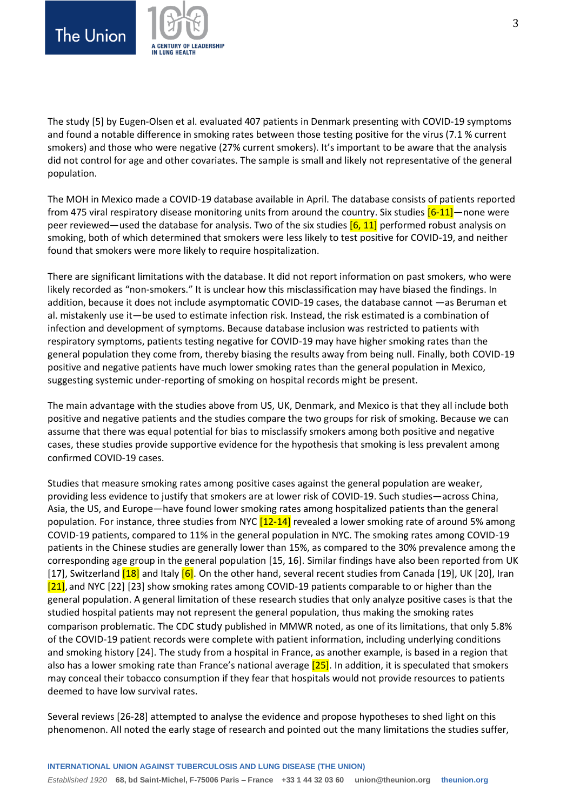



The study [\[5\]](#page-6-4) by Eugen-Olsen et al. evaluated 407 patients in Denmark presenting with COVID-19 symptoms and found a notable difference in smoking rates between those testing positive for the virus (7.1 % current smokers) and those who were negative (27% current smokers). It's important to be aware that the analysis did not control for age and other covariates. The sample is small and likely not representative of the general population.

The MOH in Mexico made a COVID-19 database available in April. The database consists of patients reported from 475 viral respiratory disease monitoring units from around the country. Six studies  $[6-11]$ —none were peer reviewed—used the database for analysis. Two of the six studies  $[6, 11]$  $[6, 11]$  performed robust analysis on smoking, both of which determined that smokers were less likely to test positive for COVID-19, and neither found that smokers were more likely to require hospitalization.

There are significant limitations with the database. It did not report information on past smokers, who were likely recorded as "non-smokers." It is unclear how this misclassification may have biased the findings. In addition, because it does not include asymptomatic COVID-19 cases, the database cannot —as Beruman et al. mistakenly use it—be used to estimate infection risk. Instead, the risk estimated is a combination of infection and development of symptoms. Because database inclusion was restricted to patients with respiratory symptoms, patients testing negative for COVID-19 may have higher smoking rates than the general population they come from, thereby biasing the results away from being null. Finally, both COVID-19 positive and negative patients have much lower smoking rates than the general population in Mexico, suggesting systemic under-reporting of smoking on hospital records might be present.

The main advantage with the studies above from US, UK, Denmark, and Mexico is that they all include both positive and negative patients and the studies compare the two groups for risk of smoking. Because we can assume that there was equal potential for bias to misclassify smokers among both positive and negative cases, these studies provide supportive evidence for the hypothesis that smoking is less prevalent among confirmed COVID-19 cases.

Studies that measure smoking rates among positive cases against the general population are weaker, providing less evidence to justify that smokers are at lower risk of COVID-19. Such studies—across China, Asia, the US, and Europe—have found lower smoking rates among hospitalized patients than the general population. For instance, three studies from NYC [\[12-14\]](#page-7-2) revealed a lower smoking rate of around 5% among COVID-19 patients, compared to 11% in the general population in NYC. The smoking rates among COVID-19 patients in the Chinese studies are generally lower than 15%, as compared to the 30% prevalence among the corresponding age group in the general population [\[15,](#page-7-3) [16\]](#page-7-4). Similar findings have also been reported from UK [\[17\]](#page-7-5), Switzerland [\[18\]](#page-7-6) and Italy [\[6\]](#page-6-5). On the other hand, several recent studies from Canada [\[19\]](#page-7-7), UK [\[20\]](#page-7-8), Iran [\[21\]](#page-7-9), and NYC [\[22\]](#page-7-10) [\[23\]](#page-7-11) show smoking rates among COVID-19 patients comparable to or higher than the general population. A general limitation of these research studies that only analyze positive cases is that the studied hospital patients may not represent the general population, thus making the smoking rates comparison problematic. The CDC study published in MMWR noted, as one of its limitations, that only 5.8% of the COVID-19 patient records were complete with patient information, including underlying conditions and smoking history [\[24\]](#page-7-12). The study from a hospital in France, as another example, is based in a region that also has a lower smoking rate than France's national average [\[25\]](#page-7-13). In addition, it is speculated that smokers may conceal their tobacco consumption if they fear that hospitals would not provide resources to patients deemed to have low survival rates.

Several reviews [\[26-28\]](#page-8-0) attempted to analyse the evidence and propose hypotheses to shed light on this phenomenon. All noted the early stage of research and pointed out the many limitations the studies suffer,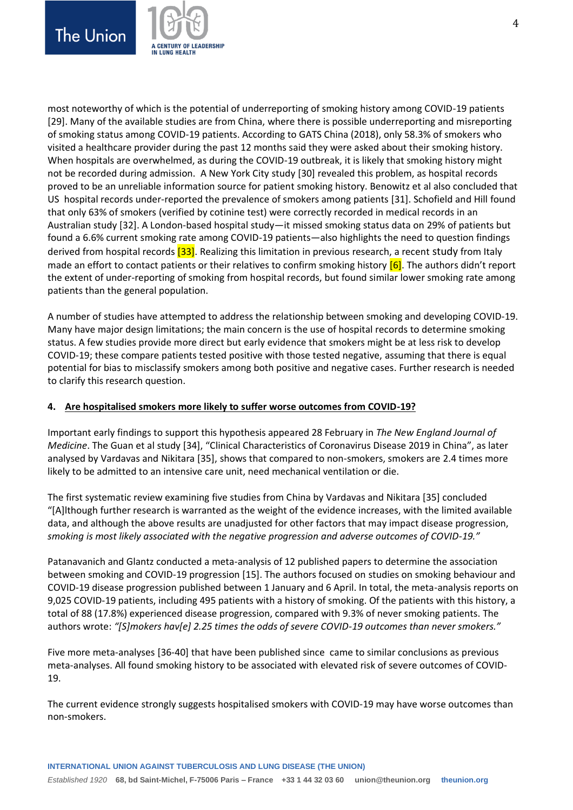



most noteworthy of which is the potential of underreporting of smoking history among COVID-19 patients [\[29\]](#page-8-1). Many of the available studies are from China, where there is possible underreporting and misreporting of smoking status among COVID-19 patients. According to GATS China (2018), only 58.3% of smokers who visited a healthcare provider during the past 12 months said they were asked about their smoking history. When hospitals are overwhelmed, as during the COVID-19 outbreak, it is likely that smoking history might not be recorded during admission. A New York City study [\[30\]](#page-8-2) revealed this problem, as hospital records proved to be an unreliable information source for patient smoking history. Benowitz et al also concluded that US hospital records under-reported the prevalence of smokers among patients [\[31\]](#page-8-3). Schofield and Hill found that only 63% of smokers (verified by cotinine test) were correctly recorded in medical records in an Australian study [\[32\]](#page-8-4). A London-based hospital study—it missed smoking status data on 29% of patients but found a 6.6% current smoking rate among COVID-19 patients—also highlights the need to question findings derived from hospital records [\[33\]](#page-8-5). Realizing this limitation in previous research, a recent study from Italy made an effort to contact patients or their relatives to confirm smoking history [\[6\]](#page-6-5). The authors didn't report the extent of under-reporting of smoking from hospital records, but found similar lower smoking rate among patients than the general population.

A number of studies have attempted to address the relationship between smoking and developing COVID-19. Many have major design limitations; the main concern is the use of hospital records to determine smoking status. A few studies provide more direct but early evidence that smokers might be at less risk to develop COVID-19; these compare patients tested positive with those tested negative, assuming that there is equal potential for bias to misclassify smokers among both positive and negative cases. Further research is needed to clarify this research question.

#### **4. Are hospitalised smokers more likely to suffer worse outcomes from COVID-19?**

Important early findings to support this hypothesis appeared 28 February in *The New England Journal of Medicine*. The Guan et al study [\[34\]](#page-8-6), "Clinical Characteristics of Coronavirus Disease 2019 in China", as later analysed by Vardavas and Nikitara [\[35\]](#page-8-7), shows that compared to non-smokers, smokers are 2.4 times more likely to be admitted to an intensive care unit, need mechanical ventilation or die.

The first systematic review examining five studies from China by Vardavas and Nikitara [\[35\]](#page-8-7) concluded "[A]lthough further research is warranted as the weight of the evidence increases, with the limited available data, and although the above results are unadjusted for other factors that may impact disease progression, *smoking is most likely associated with the negative progression and adverse outcomes of COVID-19."*

Patanavanich and Glantz conducted a meta-analysis of 12 published papers to determine the association between smoking and COVID-19 progression [\[15\]](#page-7-3). The authors focused on studies on smoking behaviour and COVID-19 disease progression published between 1 January and 6 April. In total, the meta-analysis reports on 9,025 COVID-19 patients, including 495 patients with a history of smoking. Of the patients with this history, a total of 88 (17.8%) experienced disease progression, compared with 9.3% of never smoking patients. The authors wrote: *"[S]mokers hav[e] 2.25 times the odds of severe COVID-19 outcomes than never smokers."*

Five more meta-analyses [\[36-40\]](#page-8-8) that have been published since came to similar conclusions as previous meta-analyses. All found smoking history to be associated with elevated risk of severe outcomes of COVID-19.

The current evidence strongly suggests hospitalised smokers with COVID-19 may have worse outcomes than non-smokers.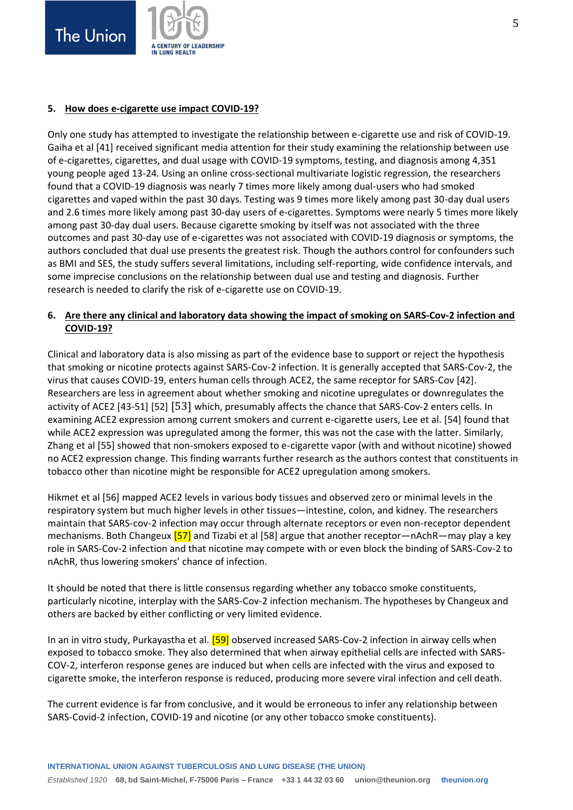



#### **5. How does e-cigarette use impact COVID-19?**

Only one study has attempted to investigate the relationship between e-cigarette use and risk of COVID-19. Gaiha et al [\[41\]](#page-8-9) received significant media attention for their study examining the relationship between use of e-cigarettes, cigarettes, and dual usage with COVID-19 symptoms, testing, and diagnosis among 4,351 young people aged 13-24. Using an online cross-sectional multivariate logistic regression, the researchers found that a COVID-19 diagnosis was nearly 7 times more likely among dual-users who had smoked cigarettes and vaped within the past 30 days. Testing was 9 times more likely among past 30-day dual users and 2.6 times more likely among past 30-day users of e-cigarettes. Symptoms were nearly 5 times more likely among past 30-day dual users. Because cigarette smoking by itself was not associated with the three outcomes and past 30-day use of e-cigarettes was not associated with COVID-19 diagnosis or symptoms, the authors concluded that dual use presents the greatest risk. Though the authors control for confounders such as BMI and SES, the study suffers several limitations, including self-reporting, wide confidence intervals, and some imprecise conclusions on the relationship between dual use and testing and diagnosis. Further research is needed to clarify the risk of e-cigarette use on COVID-19.

### **6. Are there any clinical and laboratory data showing the impact of smoking on SARS-Cov-2 infection and COVID-19?**

Clinical and laboratory data is also missing as part of the evidence base to support or reject the hypothesis that smoking or nicotine protects against SARS-Cov-2 infection. It is generally accepted that SARS-Cov-2, the virus that causes COVID-19, enters human cells through ACE2, the same receptor for SARS-Cov [\[42\]](#page-8-10). Researchers are less in agreement about whether smoking and nicotine upregulates or downregulates the activity of ACE2 [\[43-51\]](#page-8-11) [\[52\]](#page-9-0) [\[53\]](#page-9-1) which, presumably affects the chance that SARS-Cov-2 enters cells. In examining ACE2 expression among current smokers and current e-cigarette users, Lee et al. [\[54\]](#page-9-2) found that while ACE2 expression was upregulated among the former, this was not the case with the latter. Similarly, Zhang et al [\[55\]](#page-9-3) showed that non-smokers exposed to e-cigarette vapor (with and without nicotine) showed no ACE2 expression change. This finding warrants further research as the authors contest that constituents in tobacco other than nicotine might be responsible for ACE2 upregulation among smokers.

Hikmet et al [\[56\]](#page-9-4) mapped ACE2 levels in various body tissues and observed zero or minimal levels in the respiratory system but much higher levels in other tissues—intestine, colon, and kidney. The researchers maintain that SARS-cov-2 infection may occur through alternate receptors or even non-receptor dependent mechanisms. Both Changeux [\[57\]](#page-9-5) and Tizabi et al [\[58\]](#page-9-6) argue that another receptor—nAchR—may play a key role in SARS-Cov-2 infection and that nicotine may compete with or even block the binding of SARS-Cov-2 to nAchR, thus lowering smokers' chance of infection.

It should be noted that there is little consensus regarding whether any tobacco smoke constituents, particularly nicotine, interplay with the SARS-Cov-2 infection mechanism. The hypotheses by Changeux and others are backed by either conflicting or very limited evidence.

In an in vitro study, Purkayastha et al. **[\[59\]](#page-9-7)** observed increased SARS-Cov-2 infection in airway cells when exposed to tobacco smoke. They also determined that when airway epithelial cells are infected with SARS-COV-2, interferon response genes are induced but when cells are infected with the virus and exposed to cigarette smoke, the interferon response is reduced, producing more severe viral infection and cell death.

The current evidence is far from conclusive, and it would be erroneous to infer any relationship between SARS-Covid-2 infection, COVID-19 and nicotine (or any other tobacco smoke constituents).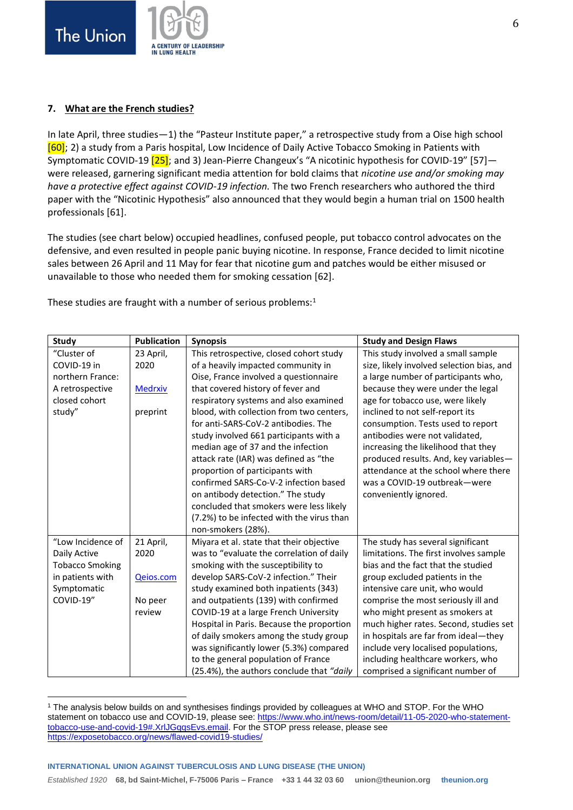**The Union** 



#### **7. What are the French studies?**

In late April, three studies—1) the "Pasteur Institute paper," a retrospective study from a Oise high school [\[60\]](#page-9-8); 2) a study from a Paris hospital, Low Incidence of Daily Active Tobacco Smoking in Patients with Symptomatic COVID-19 [\[25\]](#page-7-13); and 3) Jean-Pierre Changeux's "A nicotinic hypothesis for COVID-19" [\[57\]](#page-9-5) were released, garnering significant media attention for bold claims that *nicotine use and/or smoking may have a protective effect against COVID-19 infection.* The two French researchers who authored the third paper with the "Nicotinic Hypothesis" also announced that they would begin a human trial on 1500 health professionals [\[61\]](#page-9-9).

The studies (see chart below) occupied headlines, confused people, put tobacco control advocates on the defensive, and even resulted in people panic buying nicotine. In response, France decided to limit nicotine sales between 26 April and 11 May for fear that nicotine gum and patches would be either misused or unavailable to those who needed them for smoking cessation [\[62\]](#page-9-10).

These studies are fraught with a number of serious problems: $1$ 

| <b>Study</b>           | <b>Publication</b> | <b>Synopsis</b>                           | <b>Study and Design Flaws</b>             |
|------------------------|--------------------|-------------------------------------------|-------------------------------------------|
| "Cluster of            | 23 April,          | This retrospective, closed cohort study   | This study involved a small sample        |
| COVID-19 in            | 2020               | of a heavily impacted community in        | size, likely involved selection bias, and |
| northern France:       |                    | Oise, France involved a questionnaire     | a large number of participants who,       |
| A retrospective        | <b>Medrxiv</b>     | that covered history of fever and         | because they were under the legal         |
| closed cohort          |                    | respiratory systems and also examined     | age for tobacco use, were likely          |
| study"                 | preprint           | blood, with collection from two centers,  | inclined to not self-report its           |
|                        |                    | for anti-SARS-CoV-2 antibodies. The       | consumption. Tests used to report         |
|                        |                    | study involved 661 participants with a    | antibodies were not validated,            |
|                        |                    | median age of 37 and the infection        | increasing the likelihood that they       |
|                        |                    | attack rate (IAR) was defined as "the     | produced results. And, key variables-     |
|                        |                    | proportion of participants with           | attendance at the school where there      |
|                        |                    | confirmed SARS-Co-V-2 infection based     | was a COVID-19 outbreak-were              |
|                        |                    | on antibody detection." The study         | conveniently ignored.                     |
|                        |                    | concluded that smokers were less likely   |                                           |
|                        |                    | (7.2%) to be infected with the virus than |                                           |
|                        |                    | non-smokers (28%).                        |                                           |
| "Low Incidence of      | 21 April,          | Miyara et al. state that their objective  | The study has several significant         |
| Daily Active           | 2020               | was to "evaluate the correlation of daily | limitations. The first involves sample    |
| <b>Tobacco Smoking</b> |                    | smoking with the susceptibility to        | bias and the fact that the studied        |
| in patients with       | Qeios.com          | develop SARS-CoV-2 infection." Their      | group excluded patients in the            |
| Symptomatic            |                    | study examined both inpatients (343)      | intensive care unit, who would            |
| COVID-19"              | No peer            | and outpatients (139) with confirmed      | comprise the most seriously ill and       |
|                        | review             | COVID-19 at a large French University     | who might present as smokers at           |
|                        |                    | Hospital in Paris. Because the proportion | much higher rates. Second, studies set    |
|                        |                    | of daily smokers among the study group    | in hospitals are far from ideal-they      |
|                        |                    | was significantly lower (5.3%) compared   | include very localised populations,       |
|                        |                    | to the general population of France       | including healthcare workers, who         |
|                        |                    | (25.4%), the authors conclude that "daily | comprised a significant number of         |

<sup>1</sup> The analysis below builds on and synthesises findings provided by colleagues at WHO and STOP. For the WHO statement on tobacco use and COVID-19, please see[: https://www.who.int/news-room/detail/11-05-2020-who-statement](https://www.who.int/news-room/detail/11-05-2020-who-statement-tobacco-use-and-covid-19#.XrlJGqqsEvs.email)[tobacco-use-and-covid-19#.XrlJGqqsEvs.email.](https://www.who.int/news-room/detail/11-05-2020-who-statement-tobacco-use-and-covid-19#.XrlJGqqsEvs.email) For the STOP press release, please see <https://exposetobacco.org/news/flawed-covid19-studies/>

**INTERNATIONAL UNION AGAINST TUBERCULOSIS AND LUNG DISEASE (THE UNION)**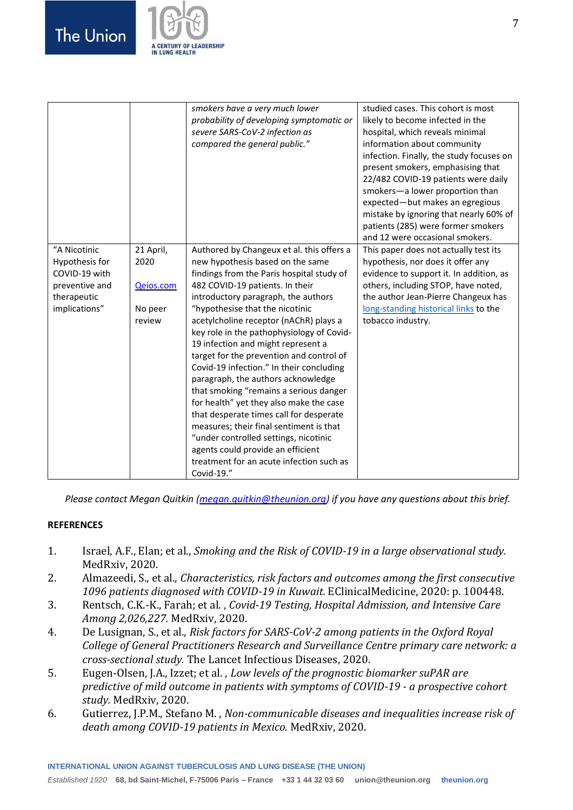

|                                                                                                   |                                                     | smokers have a very much lower<br>probability of developing symptomatic or<br>severe SARS-CoV-2 infection as<br>compared the general public."                                                                                                                                                                                                                                                                                                                                                                                                                                                                                                                                                                                                                                                           | studied cases. This cohort is most<br>likely to become infected in the<br>hospital, which reveals minimal<br>information about community<br>infection. Finally, the study focuses on<br>present smokers, emphasising that<br>22/482 COVID-19 patients were daily<br>smokers-a lower proportion than<br>expected-but makes an egregious<br>mistake by ignoring that nearly 60% of<br>patients (285) were former smokers<br>and 12 were occasional smokers. |
|---------------------------------------------------------------------------------------------------|-----------------------------------------------------|---------------------------------------------------------------------------------------------------------------------------------------------------------------------------------------------------------------------------------------------------------------------------------------------------------------------------------------------------------------------------------------------------------------------------------------------------------------------------------------------------------------------------------------------------------------------------------------------------------------------------------------------------------------------------------------------------------------------------------------------------------------------------------------------------------|-----------------------------------------------------------------------------------------------------------------------------------------------------------------------------------------------------------------------------------------------------------------------------------------------------------------------------------------------------------------------------------------------------------------------------------------------------------|
| "A Nicotinic<br>Hypothesis for<br>COVID-19 with<br>preventive and<br>therapeutic<br>implications" | 21 April,<br>2020<br>Qeios.com<br>No peer<br>review | Authored by Changeux et al. this offers a<br>new hypothesis based on the same<br>findings from the Paris hospital study of<br>482 COVID-19 patients. In their<br>introductory paragraph, the authors<br>"hypothesise that the nicotinic<br>acetylcholine receptor (nAChR) plays a<br>key role in the pathophysiology of Covid-<br>19 infection and might represent a<br>target for the prevention and control of<br>Covid-19 infection." In their concluding<br>paragraph, the authors acknowledge<br>that smoking "remains a serious danger<br>for health" yet they also make the case<br>that desperate times call for desperate<br>measures; their final sentiment is that<br>"under controlled settings, nicotinic<br>agents could provide an efficient<br>treatment for an acute infection such as | This paper does not actually test its<br>hypothesis, nor does it offer any<br>evidence to support it. In addition, as<br>others, including STOP, have noted,<br>the author Jean-Pierre Changeux has<br>long-standing historical links to the<br>tobacco industry.                                                                                                                                                                                         |
|                                                                                                   |                                                     | Covid-19."                                                                                                                                                                                                                                                                                                                                                                                                                                                                                                                                                                                                                                                                                                                                                                                              |                                                                                                                                                                                                                                                                                                                                                                                                                                                           |

*Please contact Megan Quitkin [\(megan.quitkin@theunion.org\)](mailto:megan.quitkin@theunion.org) if you have any questions about this brief.*

#### **REFERENCES**

- <span id="page-6-0"></span>1. Israel, A.F., Elan; et al., *Smoking and the Risk of COVID-19 in a large observational study.* MedRxiv, 2020.
- <span id="page-6-1"></span>2. Almazeedi, S., et al., *Characteristics, risk factors and outcomes among the first consecutive 1096 patients diagnosed with COVID-19 in Kuwait.* EClinicalMedicine, 2020: p. 100448.
- <span id="page-6-2"></span>3. Rentsch, C.K.-K., Farah; et al. , *Covid-19 Testing, Hospital Admission, and Intensive Care Among 2,026,227.* MedRxiv, 2020.
- <span id="page-6-3"></span>4. De Lusignan, S., et al., *Risk factors for SARS-CoV-2 among patients in the Oxford Royal College of General Practitioners Research and Surveillance Centre primary care network: a cross-sectional study.* The Lancet Infectious Diseases, 2020.
- <span id="page-6-4"></span>5. Eugen-Olsen, J.A., Izzet; et al. , *Low levels of the prognostic biomarker suPAR are predictive of mild outcome in patients with symptoms of COVID-19 - a prospective cohort study.* MedRxiv, 2020.
- <span id="page-6-5"></span>6. Gutierrez, J.P.M., Stefano M. , *Non-communicable diseases and inequalities increase risk of death among COVID-19 patients in Mexico.* MedRxiv, 2020.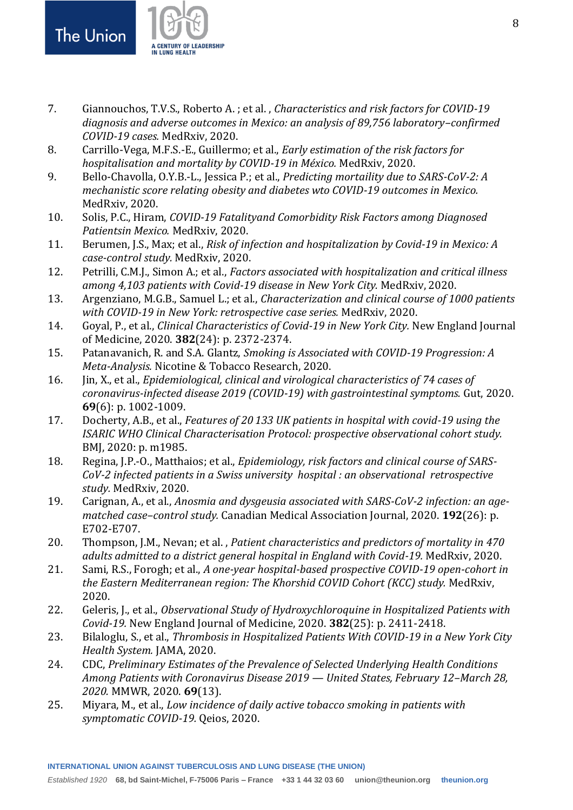

- <span id="page-7-0"></span>7. Giannouchos, T.V.S., Roberto A. ; et al. , *Characteristics and risk factors for COVID-19 diagnosis and adverse outcomes in Mexico: an analysis of 89,756 laboratory–confirmed COVID-19 cases.* MedRxiv, 2020.
- 8. Carrillo-Vega, M.F.S.-E., Guillermo; et al., *Early estimation of the risk factors for hospitalisation and mortality by COVID-19 in México.* MedRxiv, 2020.
- 9. Bello-Chavolla, O.Y.B.-L., Jessica P.; et al., *Predicting mortaility due to SARS-CoV-2: A mechanistic score relating obesity and diabetes wto COVID-19 outcomes in Mexico.* MedRxiv, 2020.
- 10. Solis, P.C., Hiram, *COVID-19 Fatalityand Comorbidity Risk Factors among Diagnosed Patientsin Mexico.* MedRxiv, 2020.
- <span id="page-7-1"></span>11. Berumen, J.S., Max; et al., *Risk of infection and hospitalization by Covid-19 in Mexico: A case-control study.* MedRxiv, 2020.
- <span id="page-7-2"></span>12. Petrilli, C.M.J., Simon A.; et al., *Factors associated with hospitalization and critical illness among 4,103 patients with Covid-19 disease in New York City.* MedRxiv, 2020.
- 13. Argenziano, M.G.B., Samuel L.; et al., *Characterization and clinical course of 1000 patients with COVID-19 in New York: retrospective case series.* MedRxiv, 2020.
- 14. Goyal, P., et al., *Clinical Characteristics of Covid-19 in New York City.* New England Journal of Medicine, 2020. **382**(24): p. 2372-2374.
- <span id="page-7-3"></span>15. Patanavanich, R. and S.A. Glantz, *Smoking is Associated with COVID-19 Progression: A Meta-Analysis.* Nicotine & Tobacco Research, 2020.
- <span id="page-7-4"></span>16. Jin, X., et al., *Epidemiological, clinical and virological characteristics of 74 cases of coronavirus-infected disease 2019 (COVID-19) with gastrointestinal symptoms.* Gut, 2020. **69**(6): p. 1002-1009.
- <span id="page-7-5"></span>17. Docherty, A.B., et al., *Features of 20 133 UK patients in hospital with covid-19 using the ISARIC WHO Clinical Characterisation Protocol: prospective observational cohort study.* BMJ, 2020: p. m1985.
- <span id="page-7-6"></span>18. Regina, J.P.-O., Matthaios; et al., *Epidemiology, risk factors and clinical course of SARS-CoV-2 infected patients in a Swiss university hospital : an observational retrospective study.* MedRxiv, 2020.
- <span id="page-7-7"></span>19. Carignan, A., et al., *Anosmia and dysgeusia associated with SARS-CoV-2 infection: an agematched case–control study.* Canadian Medical Association Journal, 2020. **192**(26): p. E702-E707.
- <span id="page-7-8"></span>20. Thompson, J.M., Nevan; et al. , *Patient characteristics and predictors of mortality in 470 adults admitted to a district general hospital in England with Covid-19.* MedRxiv, 2020.
- <span id="page-7-9"></span>21. Sami, R.S., Forogh; et al., *A one-year hospital-based prospective COVID-19 open-cohort in the Eastern Mediterranean region: The Khorshid COVID Cohort (KCC) study.* MedRxiv, 2020.
- <span id="page-7-10"></span>22. Geleris, J., et al., *Observational Study of Hydroxychloroquine in Hospitalized Patients with Covid-19.* New England Journal of Medicine, 2020. **382**(25): p. 2411-2418.
- <span id="page-7-11"></span>23. Bilaloglu, S., et al., *Thrombosis in Hospitalized Patients With COVID-19 in a New York City Health System.* JAMA, 2020.
- <span id="page-7-12"></span>24. CDC, *Preliminary Estimates of the Prevalence of Selected Underlying Health Conditions Among Patients with Coronavirus Disease 2019 — United States, February 12–March 28, 2020.* MMWR, 2020. **69**(13).
- <span id="page-7-13"></span>25. Miyara, M., et al., *Low incidence of daily active tobacco smoking in patients with symptomatic COVID-19.* Qeios, 2020.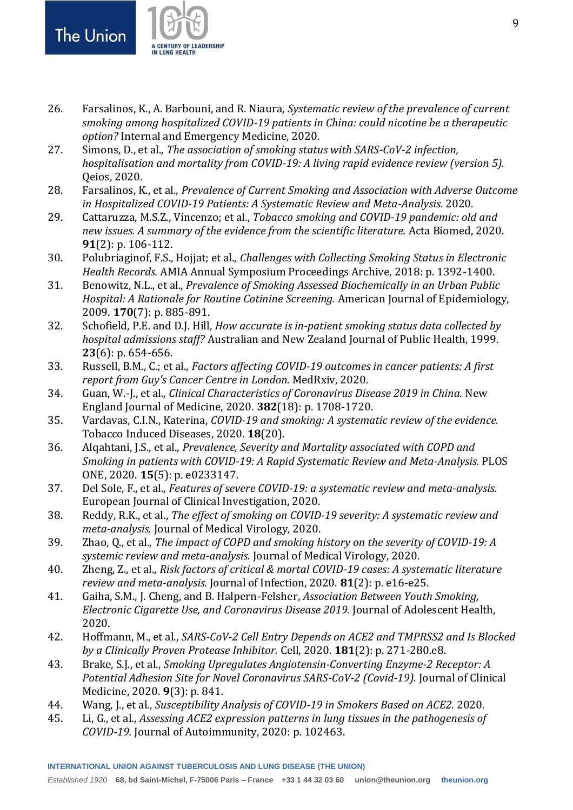

- <span id="page-8-0"></span>26. Farsalinos, K., A. Barbouni, and R. Niaura, *Systematic review of the prevalence of current smoking among hospitalized COVID-19 patients in China: could nicotine be a therapeutic option?* Internal and Emergency Medicine, 2020.
- 27. Simons, D., et al., *The association of smoking status with SARS-CoV-2 infection, hospitalisation and mortality from COVID-19: A living rapid evidence review (version 5).* Qeios, 2020.
- 28. Farsalinos, K., et al., *Prevalence of Current Smoking and Association with Adverse Outcome in Hospitalized COVID-19 Patients: A Systematic Review and Meta-Analysis.* 2020.
- <span id="page-8-1"></span>29. Cattaruzza, M.S.Z., Vincenzo; et al., *Tobacco smoking and COVID-19 pandemic: old and new issues. A summary of the evidence from the scientific literature.* Acta Biomed, 2020. **91**(2): p. 106-112.
- <span id="page-8-2"></span>30. Polubriaginof, F.S., Hojjat; et al., *Challenges with Collecting Smoking Status in Electronic Health Records.* AMIA Annual Symposium Proceedings Archive, 2018: p. 1392-1400.
- <span id="page-8-3"></span>31. Benowitz, N.L., et al., *Prevalence of Smoking Assessed Biochemically in an Urban Public Hospital: A Rationale for Routine Cotinine Screening.* American Journal of Epidemiology, 2009. **170**(7): p. 885-891.
- <span id="page-8-4"></span>32. Schofield, P.E. and D.J. Hill, *How accurate is in-patient smoking status data collected by hospital admissions staff?* Australian and New Zealand Journal of Public Health, 1999. **23**(6): p. 654-656.
- <span id="page-8-5"></span>33. Russell, B.M., C.; et al., *Factors affecting COVID-19 outcomes in cancer patients: A first report from Guy's Cancer Centre in London.* MedRxiv, 2020.
- <span id="page-8-6"></span>34. Guan, W.-J., et al., *Clinical Characteristics of Coronavirus Disease 2019 in China.* New England Journal of Medicine, 2020. **382**(18): p. 1708-1720.
- <span id="page-8-7"></span>35. Vardavas, C.I.N., Katerina, *COVID-19 and smoking: A systematic review of the evidence.* Tobacco Induced Diseases, 2020. **18**(20).
- <span id="page-8-8"></span>36. Alqahtani, J.S., et al., *Prevalence, Severity and Mortality associated with COPD and Smoking in patients with COVID-19: A Rapid Systematic Review and Meta-Analysis.* PLOS ONE, 2020. **15**(5): p. e0233147.
- 37. Del Sole, F., et al., *Features of severe COVID‐19: a systematic review and meta‐analysis.* European Journal of Clinical Investigation, 2020.
- 38. Reddy, R.K., et al., *The effect of smoking on COVID‐19 severity: A systematic review and meta‐analysis.* Journal of Medical Virology, 2020.
- 39. Zhao, Q., et al., *The impact of COPD and smoking history on the severity of COVID‐19: A systemic review and meta‐analysis.* Journal of Medical Virology, 2020.
- 40. Zheng, Z., et al., *Risk factors of critical & mortal COVID-19 cases: A systematic literature review and meta-analysis.* Journal of Infection, 2020. **81**(2): p. e16-e25.
- <span id="page-8-9"></span>41. Gaiha, S.M., J. Cheng, and B. Halpern-Felsher, *Association Between Youth Smoking, Electronic Cigarette Use, and Coronavirus Disease 2019.* Journal of Adolescent Health, 2020.
- <span id="page-8-10"></span>42. Hoffmann, M., et al., *SARS-CoV-2 Cell Entry Depends on ACE2 and TMPRSS2 and Is Blocked by a Clinically Proven Protease Inhibitor.* Cell, 2020. **181**(2): p. 271-280.e8.
- <span id="page-8-11"></span>43. Brake, S.J., et al., *Smoking Upregulates Angiotensin-Converting Enzyme-2 Receptor: A Potential Adhesion Site for Novel Coronavirus SARS-CoV-2 (Covid-19).* Journal of Clinical Medicine, 2020. **9**(3): p. 841.
- 44. Wang, J., et al., *Susceptibility Analysis of COVID-19 in Smokers Based on ACE2.* 2020.
- 45. Li, G., et al., *Assessing ACE2 expression patterns in lung tissues in the pathogenesis of COVID-19.* Journal of Autoimmunity, 2020: p. 102463.